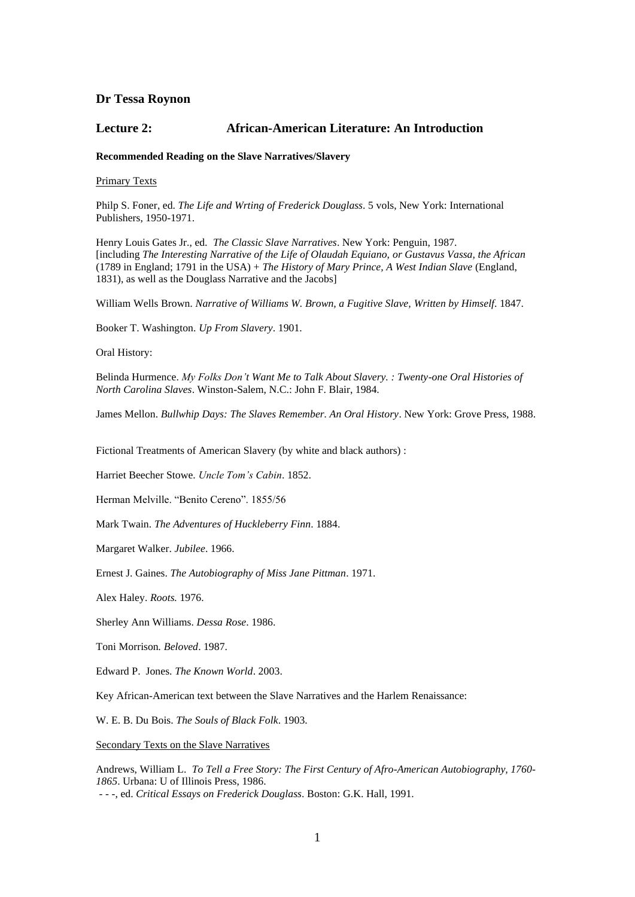### **Dr Tessa Roynon**

### **Lecture 2: African-American Literature: An Introduction**

### **Recommended Reading on the Slave Narratives/Slavery**

Primary Texts

Philp S. Foner, ed. *The Life and Wrting of Frederick Douglass*. 5 vols, New York: International Publishers, 1950-1971.

Henry Louis Gates Jr., ed*. The Classic Slave Narratives*. New York: Penguin, 1987. [including *The Interesting Narrative of the Life of Olaudah Equiano, or Gustavus Vassa, the African* (1789 in England; 1791 in the USA) + *The History of Mary Prince, A West Indian Slave* (England, 1831), as well as the Douglass Narrative and the Jacobs]

William Wells Brown*. Narrative of Williams W. Brown, a Fugitive Slave, Written by Himself*. 1847.

Booker T. Washington. *Up From Slavery*. 1901.

Oral History:

Belinda Hurmence. *My Folks Don't Want Me to Talk About Slavery. : Twenty-one Oral Histories of North Carolina Slaves*. Winston-Salem, N.C.: John F. Blair, 1984.

James Mellon. *Bullwhip Days: The Slaves Remember. An Oral History*. New York: Grove Press, 1988.

Fictional Treatments of American Slavery (by white and black authors) :

Harriet Beecher Stowe. *Uncle Tom's Cabin*. 1852.

Herman Melville. "Benito Cereno". 1855/56

Mark Twain. *The Adventures of Huckleberry Finn*. 1884.

Margaret Walker. *Jubilee*. 1966.

Ernest J. Gaines. *The Autobiography of Miss Jane Pittman*. 1971.

Alex Haley. *Roots.* 1976.

Sherley Ann Williams. *Dessa Rose*. 1986.

Toni Morrison*. Beloved*. 1987.

Edward P. Jones. *The Known World*. 2003.

Key African-American text between the Slave Narratives and the Harlem Renaissance:

W. E. B. Du Bois. *The Souls of Black Folk*. 1903.

Secondary Texts on the Slave Narratives

Andrews, William L. *To Tell a Free Story: The First Century of Afro-American Autobiography, 1760- 1865*. Urbana: U of Illinois Press, 1986. - - -, ed. *Critical Essays on Frederick Douglass*. Boston: G.K. Hall, 1991.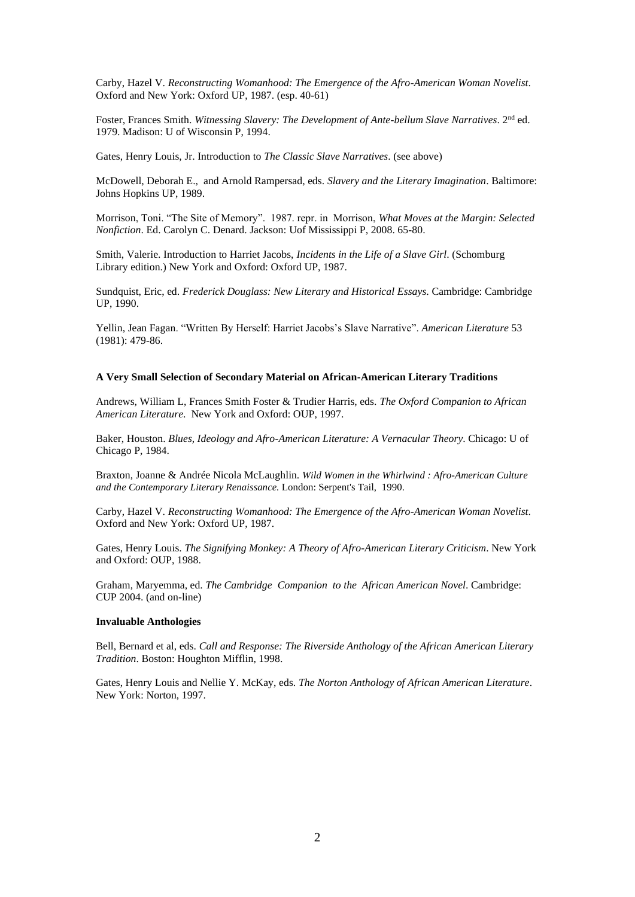Carby, Hazel V. *Reconstructing Womanhood: The Emergence of the Afro-American Woman Novelist*. Oxford and New York: Oxford UP, 1987. (esp. 40-61)

Foster, Frances Smith. *Witnessing Slavery: The Development of Ante-bellum Slave Narratives*. 2nd ed. 1979. Madison: U of Wisconsin P, 1994.

Gates, Henry Louis, Jr. Introduction to *The Classic Slave Narratives*. (see above)

McDowell, Deborah E., and Arnold Rampersad, eds. *Slavery and the Literary Imagination*. Baltimore: Johns Hopkins UP, 1989.

Morrison, Toni. "The Site of Memory". 1987. repr. in Morrison, *What Moves at the Margin: Selected Nonfiction*. Ed. Carolyn C. Denard. Jackson: Uof Mississippi P, 2008. 65-80.

Smith, Valerie. Introduction to Harriet Jacobs, *Incidents in the Life of a Slave Girl*. (Schomburg Library edition.) New York and Oxford: Oxford UP, 1987.

Sundquist, Eric, ed. *Frederick Douglass: New Literary and Historical Essays*. Cambridge: Cambridge UP, 1990.

Yellin, Jean Fagan. "Written By Herself: Harriet Jacobs's Slave Narrative". *American Literature* 53 (1981): 479-86.

#### **A Very Small Selection of Secondary Material on African-American Literary Traditions**

Andrews, William L, Frances Smith Foster & Trudier Harris, eds. *The Oxford Companion to African American Literature*. New York and Oxford: OUP, 1997.

Baker, Houston. *Blues, Ideology and Afro-American Literature: A Vernacular Theory*. Chicago: U of Chicago P, 1984.

Braxton, Joanne & Andrée Nicola McLaughlin. *Wild Women in the Whirlwind : Afro-American Culture and the Contemporary Literary Renaissance.* London: Serpent's Tail, 1990.

Carby, Hazel V. *Reconstructing Womanhood: The Emergence of the Afro-American Woman Novelist*. Oxford and New York: Oxford UP, 1987.

Gates, Henry Louis. *The Signifying Monkey: A Theory of Afro-American Literary Criticism*. New York and Oxford: OUP, 1988.

Graham, Maryemma, ed. *The Cambridge Companion to the African American Novel*. Cambridge: CUP 2004. (and on-line)

#### **Invaluable Anthologies**

Bell, Bernard et al, eds. *Call and Response: The Riverside Anthology of the African American Literary Tradition*. Boston: Houghton Mifflin, 1998.

Gates, Henry Louis and Nellie Y. McKay, eds. *The Norton Anthology of African American Literature*. New York: Norton, 1997.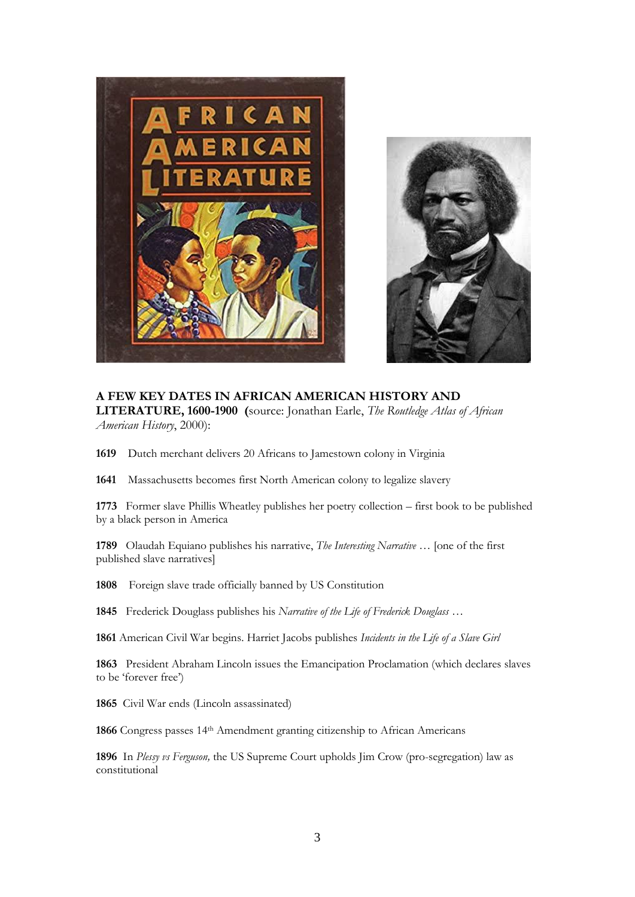



## **A FEW KEY DATES IN AFRICAN AMERICAN HISTORY AND LITERATURE, 1600-1900 (**source: Jonathan Earle, *The Routledge Atlas of African American History*, 2000):

**1619** Dutch merchant delivers 20 Africans to Jamestown colony in Virginia

**1641** Massachusetts becomes first North American colony to legalize slavery

**1773** Former slave Phillis Wheatley publishes her poetry collection – first book to be published by a black person in America

**1789** Olaudah Equiano publishes his narrative, *The Interesting Narrative …* [one of the first published slave narratives]

**1808** Foreign slave trade officially banned by US Constitution

**1845** Frederick Douglass publishes his *Narrative of the Life of Frederick Douglass …*

**1861** American Civil War begins. Harriet Jacobs publishes *Incidents in the Life of a Slave Girl*

**1863** President Abraham Lincoln issues the Emancipation Proclamation (which declares slaves to be 'forever free')

**1865** Civil War ends (Lincoln assassinated)

**1866** Congress passes 14th Amendment granting citizenship to African Americans

**1896** In *Plessy vs Ferguson,* the US Supreme Court upholds Jim Crow (pro-segregation) law as constitutional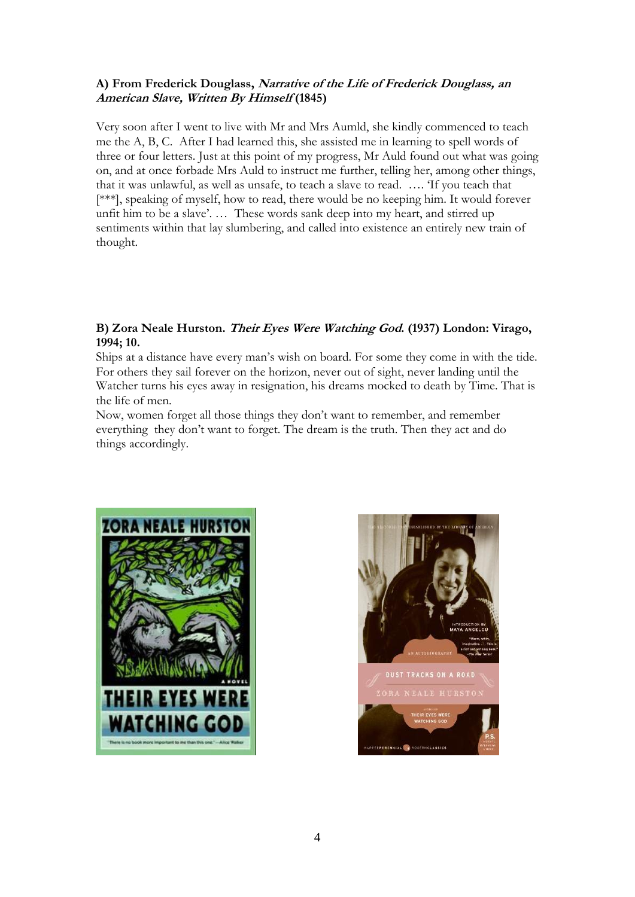# **A) From Frederick Douglass, Narrative of the Life of Frederick Douglass, an American Slave, Written By Himself (1845)**

Very soon after I went to live with Mr and Mrs Aumld, she kindly commenced to teach me the A, B, C. After I had learned this, she assisted me in learning to spell words of three or four letters. Just at this point of my progress, Mr Auld found out what was going on, and at once forbade Mrs Auld to instruct me further, telling her, among other things, that it was unlawful, as well as unsafe, to teach a slave to read. …. 'If you teach that [\*\*\*], speaking of myself, how to read, there would be no keeping him. It would forever unfit him to be a slave'. … These words sank deep into my heart, and stirred up sentiments within that lay slumbering, and called into existence an entirely new train of thought.

## **B) Zora Neale Hurston. Their Eyes Were Watching God. (1937) London: Virago, 1994; 10.**

Ships at a distance have every man's wish on board. For some they come in with the tide. For others they sail forever on the horizon, never out of sight, never landing until the Watcher turns his eyes away in resignation, his dreams mocked to death by Time. That is the life of men.

Now, women forget all those things they don't want to remember, and remember everything they don't want to forget. The dream is the truth. Then they act and do things accordingly.



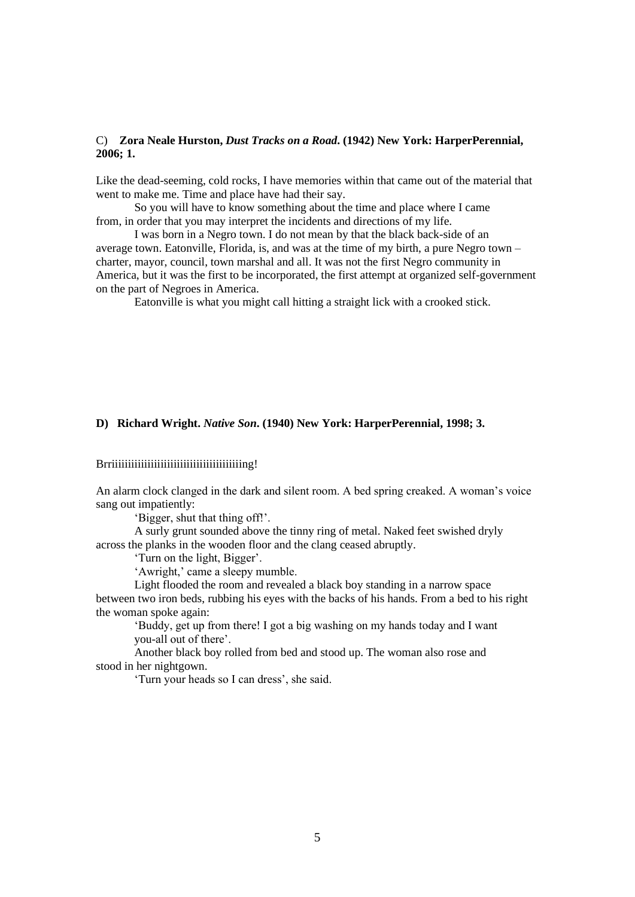### C) **Zora Neale Hurston,** *Dust Tracks on a Road***. (1942) New York: HarperPerennial, 2006; 1.**

Like the dead-seeming, cold rocks, I have memories within that came out of the material that went to make me. Time and place have had their say.

So you will have to know something about the time and place where I came from, in order that you may interpret the incidents and directions of my life.

I was born in a Negro town. I do not mean by that the black back-side of an average town. Eatonville, Florida, is, and was at the time of my birth, a pure Negro town – charter, mayor, council, town marshal and all. It was not the first Negro community in America, but it was the first to be incorporated, the first attempt at organized self-government on the part of Negroes in America.

Eatonville is what you might call hitting a straight lick with a crooked stick.

### **D) Richard Wright.** *Native Son***. (1940) New York: HarperPerennial, 1998; 3.**

Brriiiiiiiiiiiiiiiiiiiiiiiiiiiiiiiiiiiiiiiing!

An alarm clock clanged in the dark and silent room. A bed spring creaked. A woman's voice sang out impatiently:

'Bigger, shut that thing off!'.

A surly grunt sounded above the tinny ring of metal. Naked feet swished dryly across the planks in the wooden floor and the clang ceased abruptly.

'Turn on the light, Bigger'.

'Awright,' came a sleepy mumble.

Light flooded the room and revealed a black boy standing in a narrow space between two iron beds, rubbing his eyes with the backs of his hands. From a bed to his right the woman spoke again:

'Buddy, get up from there! I got a big washing on my hands today and I want you-all out of there'.

Another black boy rolled from bed and stood up. The woman also rose and stood in her nightgown.

'Turn your heads so I can dress', she said.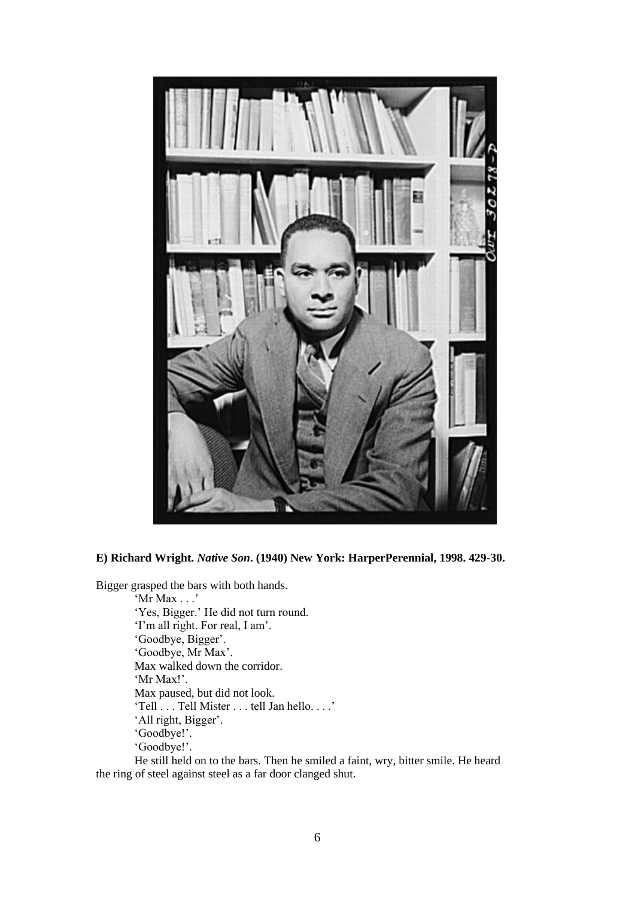

**E) Richard Wright.** *Native Son***. (1940) New York: HarperPerennial, 1998. 429-30.**

Bigger grasped the bars with both hands.  $\sim$  Mr Max  $\ldots$ ' 'Yes, Bigger.' He did not turn round. 'I'm all right. For real, I am'. 'Goodbye, Bigger'. 'Goodbye, Mr Max'. Max walked down the corridor. 'Mr Max!'. Max paused, but did not look. 'Tell . . . Tell Mister . . . tell Jan hello. . . .' 'All right, Bigger'. 'Goodbye!'. 'Goodbye!'.

He still held on to the bars. Then he smiled a faint, wry, bitter smile. He heard the ring of steel against steel as a far door clanged shut.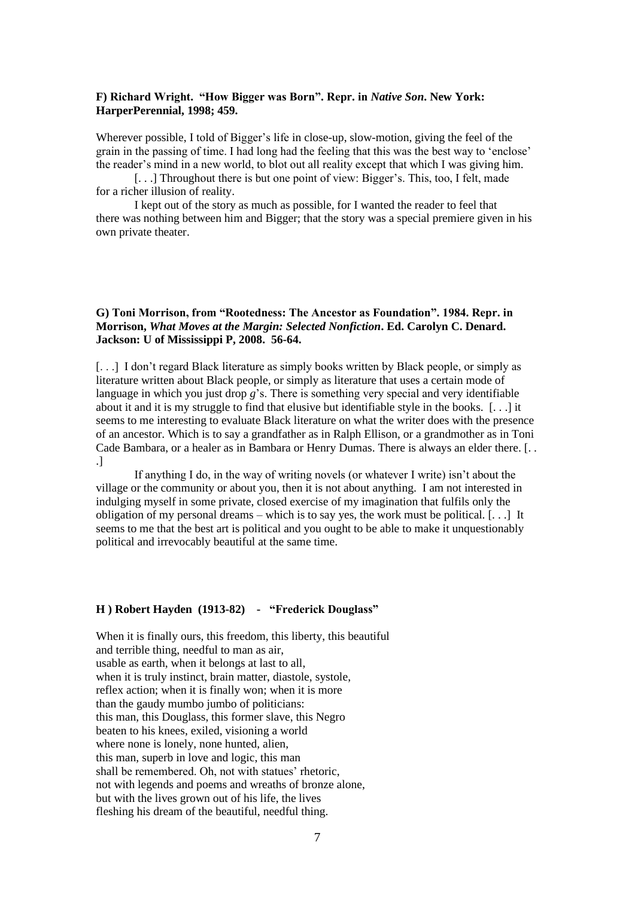### **F) Richard Wright. "How Bigger was Born". Repr. in** *Native Son***. New York: HarperPerennial, 1998; 459.**

Wherever possible, I told of Bigger's life in close-up, slow-motion, giving the feel of the grain in the passing of time. I had long had the feeling that this was the best way to 'enclose' the reader's mind in a new world, to blot out all reality except that which I was giving him.

[...] Throughout there is but one point of view: Bigger's. This, too, I felt, made for a richer illusion of reality.

I kept out of the story as much as possible, for I wanted the reader to feel that there was nothing between him and Bigger; that the story was a special premiere given in his own private theater.

### **G) Toni Morrison, from "Rootedness: The Ancestor as Foundation". 1984. Repr. in Morrison,** *What Moves at the Margin: Selected Nonfiction***. Ed. Carolyn C. Denard. Jackson: U of Mississippi P, 2008. 56-64.**

[...] I don't regard Black literature as simply books written by Black people, or simply as literature written about Black people, or simply as literature that uses a certain mode of language in which you just drop *g*'s. There is something very special and very identifiable about it and it is my struggle to find that elusive but identifiable style in the books. [. . .] it seems to me interesting to evaluate Black literature on what the writer does with the presence of an ancestor. Which is to say a grandfather as in Ralph Ellison, or a grandmother as in Toni Cade Bambara, or a healer as in Bambara or Henry Dumas. There is always an elder there. [. . .]

If anything I do, in the way of writing novels (or whatever I write) isn't about the village or the community or about you, then it is not about anything. I am not interested in indulging myself in some private, closed exercise of my imagination that fulfils only the obligation of my personal dreams – which is to say yes, the work must be political. [. . .] It seems to me that the best art is political and you ought to be able to make it unquestionably political and irrevocably beautiful at the same time.

### **H ) Robert Hayden (1913-82) - "Frederick Douglass"**

When it is finally ours, this freedom, this liberty, this beautiful and terrible thing, needful to man as air, usable as earth, when it belongs at last to all, when it is truly instinct, brain matter, diastole, systole, reflex action; when it is finally won; when it is more than the gaudy mumbo jumbo of politicians: this man, this Douglass, this former slave, this Negro beaten to his knees, exiled, visioning a world where none is lonely, none hunted, alien, this man, superb in love and logic, this man shall be remembered. Oh, not with statues' rhetoric, not with legends and poems and wreaths of bronze alone, but with the lives grown out of his life, the lives fleshing his dream of the beautiful, needful thing.